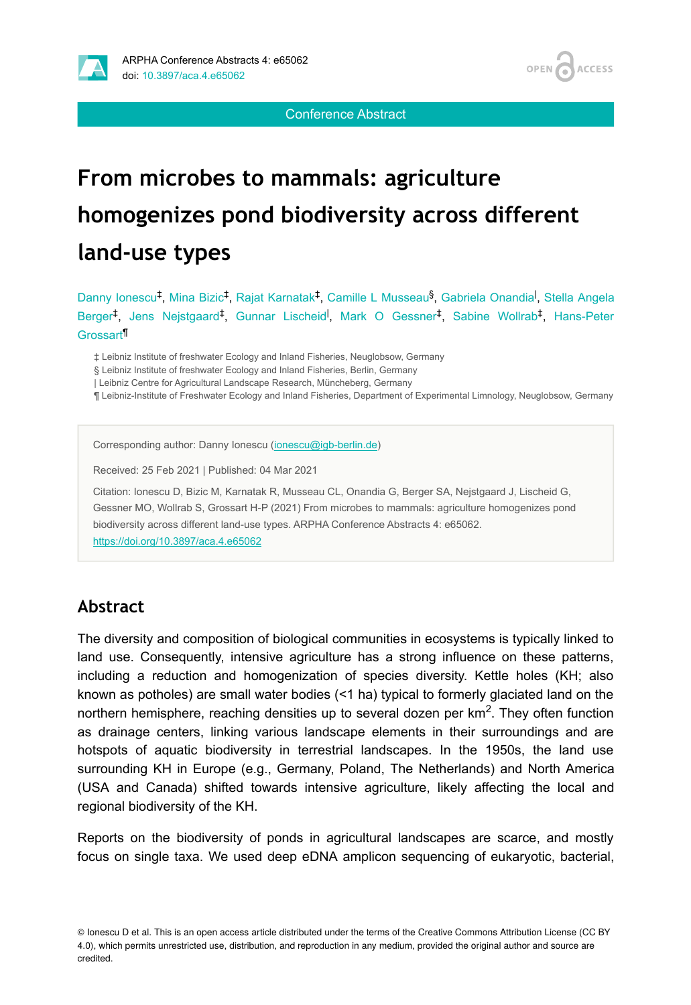



Conference Abstract

# **From microbes to mammals: agriculture homogenizes pond biodiversity across different land-use types**

Danny Ionescu<sup>‡</sup>, Mina Bizic<sup>‡</sup>, Rajat Karnatak<sup>‡</sup>, Camille L Musseau<sup>§</sup>, Gabriela Onandia<sup>l</sup>, Stella Angela Berger<sup>‡</sup>, Jens Nejstgaard<sup>‡</sup>, Gunnar Lischeid<sup>I</sup>, Mark O Gessner<sup>‡</sup>, Sabine Wollrab<sup>‡</sup>, Hans-Peter Grossart<sup>11</sup>

‡ Leibniz Institute of freshwater Ecology and Inland Fisheries, Neuglobsow, Germany

§ Leibniz Institute of freshwater Ecology and Inland Fisheries, Berlin, Germany

| Leibniz Centre for Agricultural Landscape Research, Müncheberg, Germany

¶ Leibniz-Institute of Freshwater Ecology and Inland Fisheries, Department of Experimental Limnology, Neuglobsow, Germany

Corresponding author: Danny Ionescu ([ionescu@igb-berlin.de](mailto:ionescu@igb-berlin.de))

Received: 25 Feb 2021 | Published: 04 Mar 2021

Citation: Ionescu D, Bizic M, Karnatak R, Musseau CL, Onandia G, Berger SA, Nejstgaard J, Lischeid G, Gessner MO, Wollrab S, Grossart H-P (2021) From microbes to mammals: agriculture homogenizes pond biodiversity across different land-use types. ARPHA Conference Abstracts 4: e65062. <https://doi.org/10.3897/aca.4.e65062>

#### **Abstract**

The diversity and composition of biological communities in ecosystems is typically linked to land use. Consequently, intensive agriculture has a strong influence on these patterns, including a reduction and homogenization of species diversity. Kettle holes (KH; also known as potholes) are small water bodies (<1 ha) typical to formerly glaciated land on the northern hemisphere, reaching densities up to several dozen per  $km<sup>2</sup>$ . They often function as drainage centers, linking various landscape elements in their surroundings and are hotspots of aquatic biodiversity in terrestrial landscapes. In the 1950s, the land use surrounding KH in Europe (e.g., Germany, Poland, The Netherlands) and North America (USA and Canada) shifted towards intensive agriculture, likely affecting the local and regional biodiversity of the KH.

Reports on the biodiversity of ponds in agricultural landscapes are scarce, and mostly focus on single taxa. We used deep eDNA amplicon sequencing of eukaryotic, bacterial,

© Ionescu D et al. This is an open access article distributed under the terms of the Creative Commons Attribution License (CC BY 4.0), which permits unrestricted use, distribution, and reproduction in any medium, provided the original author and source are credited.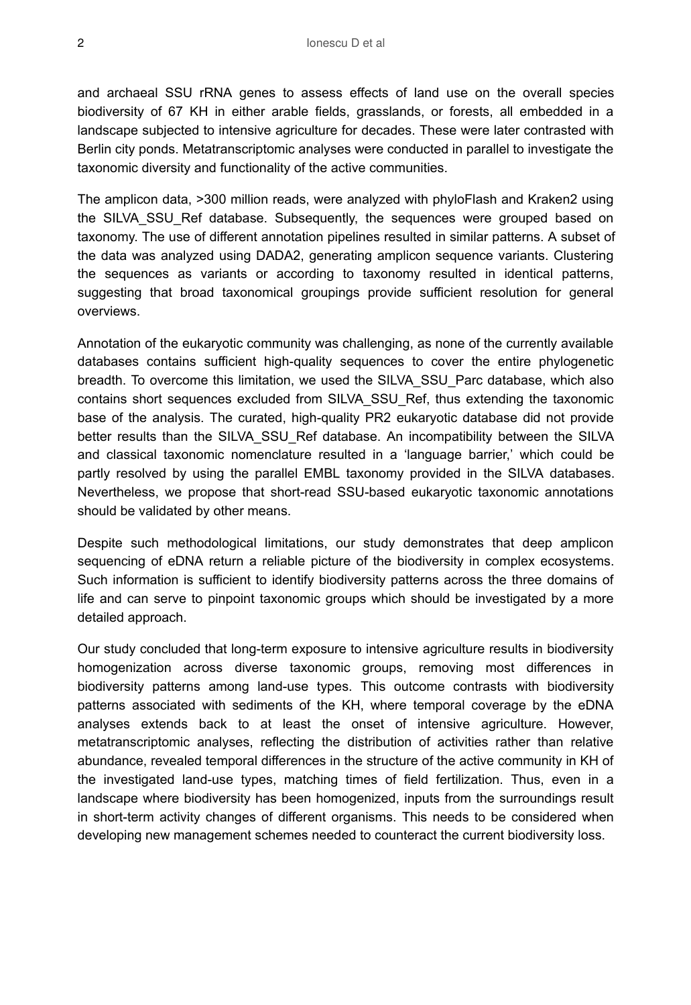and archaeal SSU rRNA genes to assess effects of land use on the overall species biodiversity of 67 KH in either arable fields, grasslands, or forests, all embedded in a landscape subjected to intensive agriculture for decades. These were later contrasted with Berlin city ponds. Metatranscriptomic analyses were conducted in parallel to investigate the taxonomic diversity and functionality of the active communities.

The amplicon data, >300 million reads, were analyzed with phyloFlash and Kraken2 using the SILVA SSU Ref database. Subsequently, the sequences were grouped based on taxonomy. The use of different annotation pipelines resulted in similar patterns. A subset of the data was analyzed using DADA2, generating amplicon sequence variants. Clustering the sequences as variants or according to taxonomy resulted in identical patterns, suggesting that broad taxonomical groupings provide sufficient resolution for general overviews.

Annotation of the eukaryotic community was challenging, as none of the currently available databases contains sufficient high-quality sequences to cover the entire phylogenetic breadth. To overcome this limitation, we used the SILVA\_SSU\_Parc database, which also contains short sequences excluded from SILVA\_SSU\_Ref, thus extending the taxonomic base of the analysis. The curated, high-quality PR2 eukaryotic database did not provide better results than the SILVA SSU\_Ref database. An incompatibility between the SILVA and classical taxonomic nomenclature resulted in a 'language barrier,' which could be partly resolved by using the parallel EMBL taxonomy provided in the SILVA databases. Nevertheless, we propose that short-read SSU-based eukaryotic taxonomic annotations should be validated by other means.

Despite such methodological limitations, our study demonstrates that deep amplicon sequencing of eDNA return a reliable picture of the biodiversity in complex ecosystems. Such information is sufficient to identify biodiversity patterns across the three domains of life and can serve to pinpoint taxonomic groups which should be investigated by a more detailed approach.

Our study concluded that long-term exposure to intensive agriculture results in biodiversity homogenization across diverse taxonomic groups, removing most differences in biodiversity patterns among land-use types. This outcome contrasts with biodiversity patterns associated with sediments of the KH, where temporal coverage by the eDNA analyses extends back to at least the onset of intensive agriculture. However, metatranscriptomic analyses, reflecting the distribution of activities rather than relative abundance, revealed temporal differences in the structure of the active community in KH of the investigated land-use types, matching times of field fertilization. Thus, even in a landscape where biodiversity has been homogenized, inputs from the surroundings result in short-term activity changes of different organisms. This needs to be considered when developing new management schemes needed to counteract the current biodiversity loss.